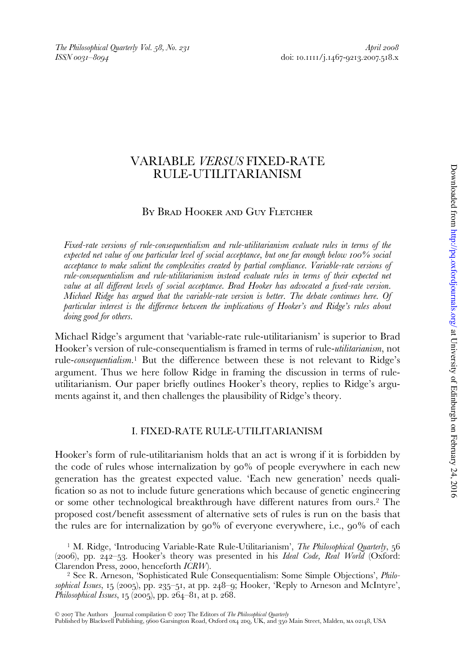*The Philosophical Quarterly Vol. 58, No. 231 April 2008 ISSN 0031–8004* doi: 10.1111/j.1467-0213.2007.518.x

# VARIABLE *VERSUS* FIXED-RATE RULE-UTILITARIANISM

## BY BRAD HOOKER AND GUY FLETCHER

*Fixed-rate versions of rule-consequentialism and rule-utilitarianism evaluate rules in terms of the expected net value of one particular level of social acceptance, but one far enough below 100% social acceptance to make salient the complexities created by partial compliance. Variable-rate versions of rule-consequentialism and rule-utilitarianism instead evaluate rules in terms of their expected net value at all different levels of social acceptance. Brad Hooker has advocated a fixed-rate version. Michael Ridge has argued that the variable-rate version is better. The debate continues here. Of particular interest is the difference between the implications of Hooker's and Ridge's rules about doing good for others.*

Michael Ridge's argument that 'variable-rate rule-utilitarianism' is superior to Brad Hooker's version of rule-consequentialism is framed in terms of rule-*utilitarianism*, not rule-*consequentialism*.1 But the difference between these is not relevant to Ridge's argument. Thus we here follow Ridge in framing the discussion in terms of ruleutilitarianism. Our paper briefly outlines Hooker's theory, replies to Ridge's arguments against it, and then challenges the plausibility of Ridge's theory.

## I. FIXED-RATE RULE-UTILITARIANISM

Hooker's form of rule-utilitarianism holds that an act is wrong if it is forbidden by the code of rules whose internalization by 90% of people everywhere in each new generation has the greatest expected value. 'Each new generation' needs qualification so as not to include future generations which because of genetic engineering or some other technological breakthrough have different natures from ours.2 The proposed cost/benefit assessment of alternative sets of rules is run on the basis that the rules are for internalization by 90% of everyone everywhere, i.e., 90% of each

<sup>1</sup> M. Ridge, 'Introducing Variable-Rate Rule-Utilitarianism', *The Philosophical Quarterly*, 56 (2006), pp. 242–53. Hooker's theory was presented in his *Ideal Code, Real World* (Oxford: Clarendon Press, 2000, henceforth *ICRW*).

<sup>2</sup> See R. Arneson, 'Sophisticated Rule Consequentialism: Some Simple Objections', *Philosophical Issues*, 15 (2005), pp. 235–51, at pp. 248–9; Hooker, 'Reply to Arneson and McIntyre', *Philosophical Issues*, 15 (2005), pp. 264–81, at p. 268.

© 2007 The Authors Journal compilation © 2007 The Editors of *The Philosophical Quarterly*

Published by Blackwell Publishing, 9600 Garsington Road, Oxford OX4 2DQ, UK, and 350 Main Street, Malden, MA 02148, USA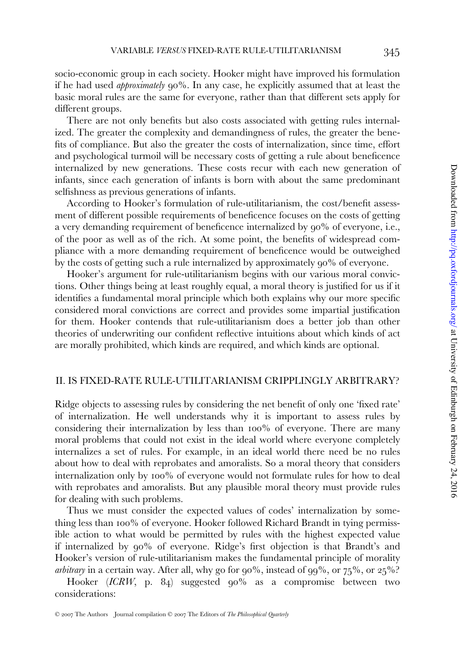socio-economic group in each society. Hooker might have improved his formulation if he had used *approximately* 90%. In any case, he explicitly assumed that at least the basic moral rules are the same for everyone, rather than that different sets apply for different groups.

There are not only benefits but also costs associated with getting rules internalized. The greater the complexity and demandingness of rules, the greater the benefits of compliance. But also the greater the costs of internalization, since time, effort and psychological turmoil will be necessary costs of getting a rule about beneficence internalized by new generations. These costs recur with each new generation of infants, since each generation of infants is born with about the same predominant selfishness as previous generations of infants.

According to Hooker's formulation of rule-utilitarianism, the cost/benefit assessment of different possible requirements of beneficence focuses on the costs of getting a very demanding requirement of beneficence internalized by 90% of everyone, i.e., of the poor as well as of the rich. At some point, the benefits of widespread compliance with a more demanding requirement of beneficence would be outweighed by the costs of getting such a rule internalized by approximately 90% of everyone.

Hooker's argument for rule-utilitarianism begins with our various moral convictions. Other things being at least roughly equal, a moral theory is justified for us if it identifies a fundamental moral principle which both explains why our more specific considered moral convictions are correct and provides some impartial justification for them. Hooker contends that rule-utilitarianism does a better job than other theories of underwriting our confident reflective intuitions about which kinds of act are morally prohibited, which kinds are required, and which kinds are optional.

#### II. IS FIXED-RATE RULE-UTILITARIANISM CRIPPLINGLY ARBITRARY?

Ridge objects to assessing rules by considering the net benefit of only one 'fixed rate' of internalization. He well understands why it is important to assess rules by considering their internalization by less than 100% of everyone. There are many moral problems that could not exist in the ideal world where everyone completely internalizes a set of rules. For example, in an ideal world there need be no rules about how to deal with reprobates and amoralists. So a moral theory that considers internalization only by 100% of everyone would not formulate rules for how to deal with reprobates and amoralists. But any plausible moral theory must provide rules for dealing with such problems.

Thus we must consider the expected values of codes' internalization by something less than 100% of everyone. Hooker followed Richard Brandt in tying permissible action to what would be permitted by rules with the highest expected value if internalized by 90% of everyone. Ridge's first objection is that Brandt's and Hooker's version of rule-utilitarianism makes the fundamental principle of morality *arbitrary* in a certain way. After all, why go for 90%, instead of 99%, or 75%, or 25%?

Hooker (*ICRW*, p. 84) suggested 90% as a compromise between two considerations: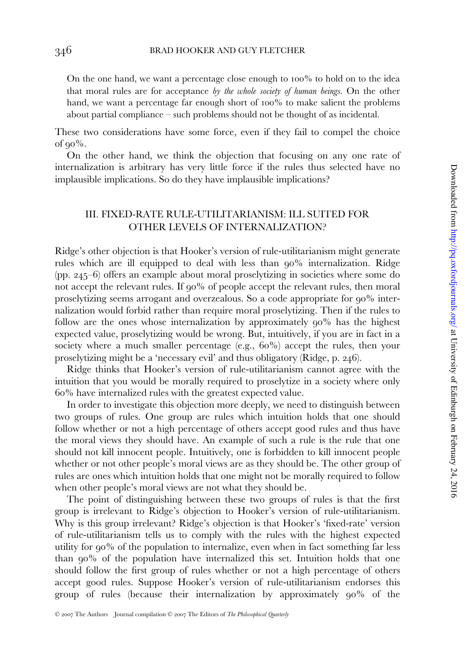On the one hand, we want a percentage close enough to 100% to hold on to the idea that moral rules are for acceptance *by the whole society of human beings*. On the other hand, we want a percentage far enough short of 100% to make salient the problems about partial compliance – such problems should not be thought of as incidental.

These two considerations have some force, even if they fail to compel the choice of  $90\%$ .

On the other hand, we think the objection that focusing on any one rate of internalization is arbitrary has very little force if the rules thus selected have no implausible implications. So do they have implausible implications?

## III. FIXED-RATE RULE-UTILITARIANISM: ILL SUITED FOR OTHER LEVELS OF INTERNALIZATION?

Ridge's other objection is that Hooker's version of rule-utilitarianism might generate rules which are ill equipped to deal with less than 90% internalization. Ridge (pp. 245–6) offers an example about moral proselytizing in societies where some do not accept the relevant rules. If 90% of people accept the relevant rules, then moral proselytizing seems arrogant and overzealous. So a code appropriate for 90% internalization would forbid rather than require moral proselytizing. Then if the rules to follow are the ones whose internalization by approximately 90% has the highest expected value, proselytizing would be wrong. But, intuitively, if you are in fact in a society where a much smaller percentage (e.g., 60%) accept the rules, then your proselytizing might be a 'necessary evil' and thus obligatory (Ridge, p. 246).

Ridge thinks that Hooker's version of rule-utilitarianism cannot agree with the intuition that you would be morally required to proselytize in a society where only 60% have internalized rules with the greatest expected value.

In order to investigate this objection more deeply, we need to distinguish between two groups of rules. One group are rules which intuition holds that one should follow whether or not a high percentage of others accept good rules and thus have the moral views they should have. An example of such a rule is the rule that one should not kill innocent people. Intuitively, one is forbidden to kill innocent people whether or not other people's moral views are as they should be. The other group of rules are ones which intuition holds that one might not be morally required to follow when other people's moral views are not what they should be.

The point of distinguishing between these two groups of rules is that the first group is irrelevant to Ridge's objection to Hooker's version of rule-utilitarianism. Why is this group irrelevant? Ridge's objection is that Hooker's 'fixed-rate' version of rule-utilitarianism tells us to comply with the rules with the highest expected utility for 90% of the population to internalize, even when in fact something far less than 90% of the population have internalized this set. Intuition holds that one should follow the first group of rules whether or not a high percentage of others accept good rules. Suppose Hooker's version of rule-utilitarianism endorses this group of rules (because their internalization by approximately 90% of the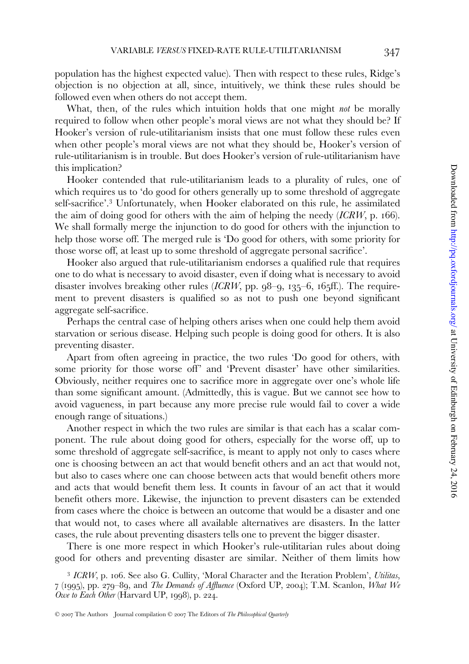population has the highest expected value). Then with respect to these rules, Ridge's objection is no objection at all, since, intuitively, we think these rules should be followed even when others do not accept them.

What, then, of the rules which intuition holds that one might *not* be morally required to follow when other people's moral views are not what they should be? If Hooker's version of rule-utilitarianism insists that one must follow these rules even when other people's moral views are not what they should be, Hooker's version of rule-utilitarianism is in trouble. But does Hooker's version of rule-utilitarianism have this implication?

Hooker contended that rule-utilitarianism leads to a plurality of rules, one of which requires us to 'do good for others generally up to some threshold of aggregate self-sacrifice'.3 Unfortunately, when Hooker elaborated on this rule, he assimilated the aim of doing good for others with the aim of helping the needy (*ICRW*, p. 166). We shall formally merge the injunction to do good for others with the injunction to help those worse off. The merged rule is 'Do good for others, with some priority for those worse off, at least up to some threshold of aggregate personal sacrifice'.

Hooker also argued that rule-utilitarianism endorses a qualified rule that requires one to do what is necessary to avoid disaster, even if doing what is necessary to avoid disaster involves breaking other rules (*ICRW*, pp. 98–9, 135–6, 165ff.). The requirement to prevent disasters is qualified so as not to push one beyond significant aggregate self-sacrifice.

Perhaps the central case of helping others arises when one could help them avoid starvation or serious disease. Helping such people is doing good for others. It is also preventing disaster.

Apart from often agreeing in practice, the two rules 'Do good for others, with some priority for those worse off' and 'Prevent disaster' have other similarities. Obviously, neither requires one to sacrifice more in aggregate over one's whole life than some significant amount. (Admittedly, this is vague. But we cannot see how to avoid vagueness, in part because any more precise rule would fail to cover a wide enough range of situations.)

Another respect in which the two rules are similar is that each has a scalar component. The rule about doing good for others, especially for the worse off, up to some threshold of aggregate self-sacrifice, is meant to apply not only to cases where one is choosing between an act that would benefit others and an act that would not, but also to cases where one can choose between acts that would benefit others more and acts that would benefit them less. It counts in favour of an act that it would benefit others more. Likewise, the injunction to prevent disasters can be extended from cases where the choice is between an outcome that would be a disaster and one that would not, to cases where all available alternatives are disasters. In the latter cases, the rule about preventing disasters tells one to prevent the bigger disaster.

There is one more respect in which Hooker's rule-utilitarian rules about doing good for others and preventing disaster are similar. Neither of them limits how

<sup>3</sup> *ICRW*, p. 106. See also G. Cullity, 'Moral Character and the Iteration Problem', *Utilitas*, 7 (1995), pp. 279–89, and *The Demands of Affluence* (Oxford UP, 2004); T.M. Scanlon, *What We Owe to Each Other* (Harvard UP, 1998), p. 224.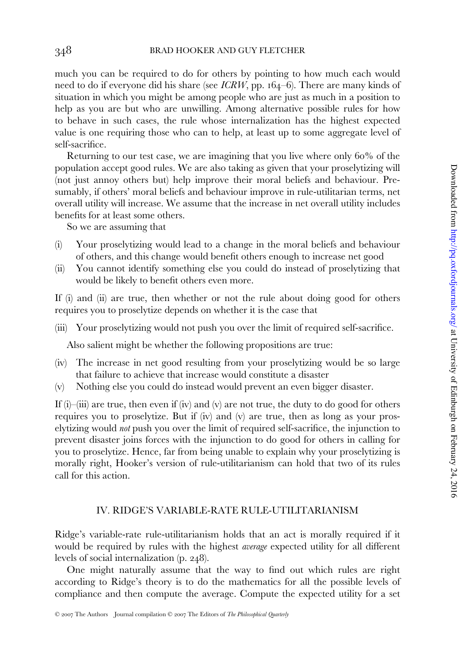### 348 BRAD HOOKER AND GUY FLETCHER

much you can be required to do for others by pointing to how much each would need to do if everyone did his share (see *ICRW*, pp. 164–6). There are many kinds of situation in which you might be among people who are just as much in a position to help as you are but who are unwilling. Among alternative possible rules for how to behave in such cases, the rule whose internalization has the highest expected value is one requiring those who can to help, at least up to some aggregate level of self-sacrifice.

Returning to our test case, we are imagining that you live where only 60% of the population accept good rules. We are also taking as given that your proselytizing will (not just annoy others but) help improve their moral beliefs and behaviour. Presumably, if others' moral beliefs and behaviour improve in rule-utilitarian terms, net overall utility will increase. We assume that the increase in net overall utility includes benefits for at least some others.

So we are assuming that

- (i) Your proselytizing would lead to a change in the moral beliefs and behaviour of others, and this change would benefit others enough to increase net good
- (ii) You cannot identify something else you could do instead of proselytizing that would be likely to benefit others even more.

If (i) and (ii) are true, then whether or not the rule about doing good for others requires you to proselytize depends on whether it is the case that

(iii) Your proselytizing would not push you over the limit of required self-sacrifice.

Also salient might be whether the following propositions are true:

- (iv) The increase in net good resulting from your proselytizing would be so large that failure to achieve that increase would constitute a disaster
- (v) Nothing else you could do instead would prevent an even bigger disaster.

If  $(i)$ – $(iii)$  are true, then even if  $(iv)$  and  $(v)$  are not true, the duty to do good for others requires you to proselytize. But if (iv) and (v) are true, then as long as your proselytizing would *not* push you over the limit of required self-sacrifice, the injunction to prevent disaster joins forces with the injunction to do good for others in calling for you to proselytize. Hence, far from being unable to explain why your proselytizing is morally right, Hooker's version of rule-utilitarianism can hold that two of its rules call for this action.

#### IV. RIDGE'S VARIABLE-RATE RULE-UTILITARIANISM

Ridge's variable-rate rule-utilitarianism holds that an act is morally required if it would be required by rules with the highest *average* expected utility for all different levels of social internalization (p. 248).

One might naturally assume that the way to find out which rules are right according to Ridge's theory is to do the mathematics for all the possible levels of compliance and then compute the average. Compute the expected utility for a set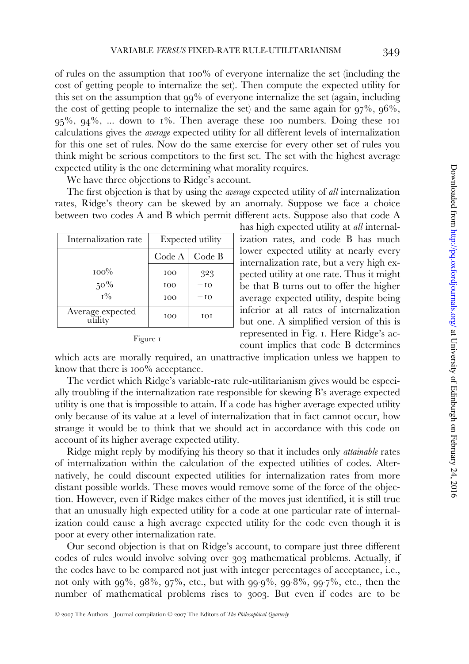of rules on the assumption that 100% of everyone internalize the set (including the cost of getting people to internalize the set). Then compute the expected utility for this set on the assumption that 99% of everyone internalize the set (again, including the cost of getting people to internalize the set) and the same again for 97%, 96%,  $95\%$ ,  $94\%$ , ... down to  $1\%$ . Then average these 100 numbers. Doing these 101 calculations gives the *average* expected utility for all different levels of internalization for this one set of rules. Now do the same exercise for every other set of rules you think might be serious competitors to the first set. The set with the highest average expected utility is the one determining what morality requires.

We have three objections to Ridge's account.

The first objection is that by using the *average* expected utility of *all* internalization rates, Ridge's theory can be skewed by an anomaly. Suppose we face a choice between two codes A and B which permit different acts. Suppose also that code A

| Internalization rate        | Expected utility |        |
|-----------------------------|------------------|--------|
|                             | Code A           | Code B |
| $100\%$                     | 100              | 323    |
| $50\%$                      | 100              | $-10$  |
| $I\frac{0}{6}$              | 100              | $-10$  |
| Average expected<br>utility | 100              | 10 I   |

has high expected utility at *all* internalization rates, and code B has much lower expected utility at nearly every internalization rate, but a very high expected utility at one rate. Thus it might be that B turns out to offer the higher average expected utility, despite being inferior at all rates of internalization but one. A simplified version of this is represented in Fig. 1. Here Ridge's account implies that code B determines

which acts are morally required, an unattractive implication unless we happen to know that there is 100% acceptance.

The verdict which Ridge's variable-rate rule-utilitarianism gives would be especially troubling if the internalization rate responsible for skewing B's average expected utility is one that is impossible to attain. If a code has higher average expected utility only because of its value at a level of internalization that in fact cannot occur, how strange it would be to think that we should act in accordance with this code on account of its higher average expected utility.

Ridge might reply by modifying his theory so that it includes only *attainable* rates of internalization within the calculation of the expected utilities of codes. Alternatively, he could discount expected utilities for internalization rates from more distant possible worlds. These moves would remove some of the force of the objection. However, even if Ridge makes either of the moves just identified, it is still true that an unusually high expected utility for a code at one particular rate of internalization could cause a high average expected utility for the code even though it is poor at every other internalization rate.

Our second objection is that on Ridge's account, to compare just three different codes of rules would involve solving over 303 mathematical problems. Actually, if the codes have to be compared not just with integer percentages of acceptance, i.e., not only with 99%, 98%, 97%, etc., but with 99⋅9%, 99⋅8%, 99⋅7%, etc., then the number of mathematical problems rises to 3003. But even if codes are to be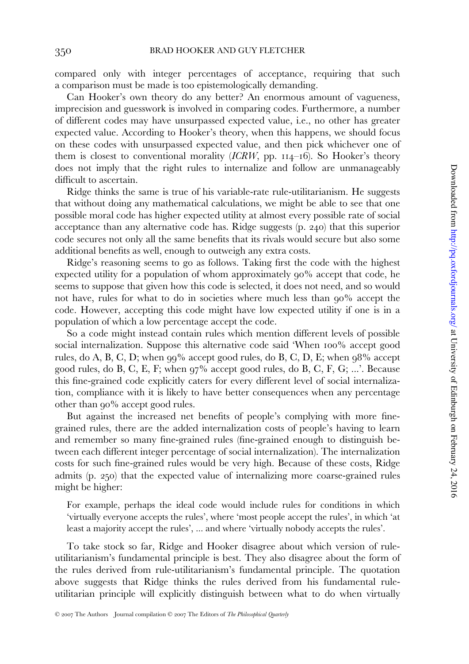compared only with integer percentages of acceptance, requiring that such a comparison must be made is too epistemologically demanding.

Can Hooker's own theory do any better? An enormous amount of vagueness, imprecision and guesswork is involved in comparing codes. Furthermore, a number of different codes may have unsurpassed expected value, i.e., no other has greater expected value. According to Hooker's theory, when this happens, we should focus on these codes with unsurpassed expected value, and then pick whichever one of them is closest to conventional morality (*ICRW*, pp. 114–16). So Hooker's theory does not imply that the right rules to internalize and follow are unmanageably difficult to ascertain.

Ridge thinks the same is true of his variable-rate rule-utilitarianism. He suggests that without doing any mathematical calculations, we might be able to see that one possible moral code has higher expected utility at almost every possible rate of social acceptance than any alternative code has. Ridge suggests (p. 240) that this superior code secures not only all the same benefits that its rivals would secure but also some additional benefits as well, enough to outweigh any extra costs.

Ridge's reasoning seems to go as follows. Taking first the code with the highest expected utility for a population of whom approximately 90% accept that code, he seems to suppose that given how this code is selected, it does not need, and so would not have, rules for what to do in societies where much less than 90% accept the code. However, accepting this code might have low expected utility if one is in a population of which a low percentage accept the code.

So a code might instead contain rules which mention different levels of possible social internalization. Suppose this alternative code said 'When 100% accept good rules, do A, B, C, D; when 99% accept good rules, do B, C, D, E; when 98% accept good rules, do B, C, E, F; when 97% accept good rules, do B, C, F, G; ...'. Because this fine-grained code explicitly caters for every different level of social internalization, compliance with it is likely to have better consequences when any percentage other than 90% accept good rules.

But against the increased net benefits of people's complying with more finegrained rules, there are the added internalization costs of people's having to learn and remember so many fine-grained rules (fine-grained enough to distinguish between each different integer percentage of social internalization). The internalization costs for such fine-grained rules would be very high. Because of these costs, Ridge admits (p. 250) that the expected value of internalizing more coarse-grained rules might be higher:

For example, perhaps the ideal code would include rules for conditions in which 'virtually everyone accepts the rules', where 'most people accept the rules', in which 'at least a majority accept the rules', ... and where 'virtually nobody accepts the rules'.

To take stock so far, Ridge and Hooker disagree about which version of ruleutilitarianism's fundamental principle is best. They also disagree about the form of the rules derived from rule-utilitarianism's fundamental principle. The quotation above suggests that Ridge thinks the rules derived from his fundamental ruleutilitarian principle will explicitly distinguish between what to do when virtually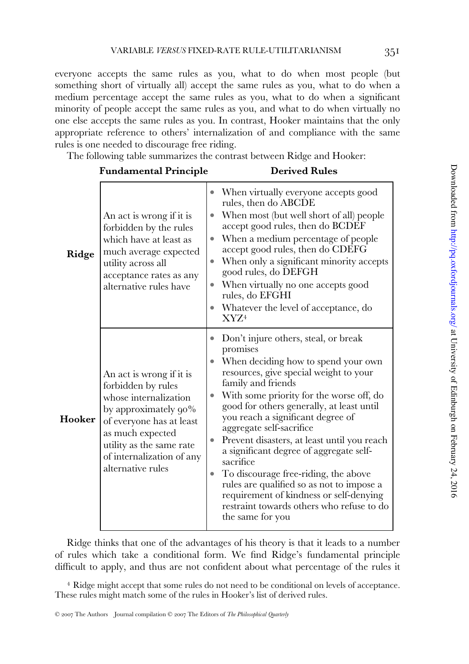everyone accepts the same rules as you, what to do when most people (but something short of virtually all) accept the same rules as you, what to do when a medium percentage accept the same rules as you, what to do when a significant minority of people accept the same rules as you, and what to do when virtually no one else accepts the same rules as you. In contrast, Hooker maintains that the only appropriate reference to others' internalization of and compliance with the same rules is one needed to discourage free riding.

The following table summarizes the contrast between Ridge and Hooker:

|        | <b>Fundamental Principle</b>                                                                                                                                                                                                  | <b>Derived Rules</b>                                                                                                                                                                                                                                                                                                                                                                                                                                                                                                                                                                                                                                                          |
|--------|-------------------------------------------------------------------------------------------------------------------------------------------------------------------------------------------------------------------------------|-------------------------------------------------------------------------------------------------------------------------------------------------------------------------------------------------------------------------------------------------------------------------------------------------------------------------------------------------------------------------------------------------------------------------------------------------------------------------------------------------------------------------------------------------------------------------------------------------------------------------------------------------------------------------------|
| Ridge  | An act is wrong if it is<br>forbidden by the rules<br>which have at least as<br>much average expected<br>utility across all<br>acceptance rates as any<br>alternative rules have                                              | When virtually everyone accepts good<br>$\bullet$<br>rules, then do ABCDE<br>When most (but well short of all) people<br>$\bullet$<br>accept good rules, then do BCDEF<br>When a medium percentage of people<br>$\bullet$<br>accept good rules, then do CDEFG<br>When only a significant minority accepts<br>$\bullet$<br>good rules, do DEFGH<br>When virtually no one accepts good<br>$\bullet$<br>rules, do EFGHI<br>Whatever the level of acceptance, do<br>$\bullet$<br>XYZ <sup>4</sup>                                                                                                                                                                                 |
| Hooker | An act is wrong if it is<br>forbidden by rules<br>whose internalization<br>by approximately 90%<br>of everyone has at least<br>as much expected<br>utility as the same rate<br>of internalization of any<br>alternative rules | Don't injure others, steal, or break<br>promises<br>When deciding how to spend your own<br>$\bullet$<br>resources, give special weight to your<br>family and friends<br>With some priority for the worse off, do<br>$\bullet$<br>good for others generally, at least until<br>you reach a significant degree of<br>aggregate self-sacrifice<br>Prevent disasters, at least until you reach<br>$\bullet$<br>a significant degree of aggregate self-<br>sacrifice<br>To discourage free-riding, the above<br>$\bullet$<br>rules are qualified so as not to impose a<br>requirement of kindness or self-denying<br>restraint towards others who refuse to do<br>the same for you |

Ridge thinks that one of the advantages of his theory is that it leads to a number of rules which take a conditional form. We find Ridge's fundamental principle difficult to apply, and thus are not confident about what percentage of the rules it

<sup>4</sup> Ridge might accept that some rules do not need to be conditional on levels of acceptance. These rules might match some of the rules in Hooker's list of derived rules.